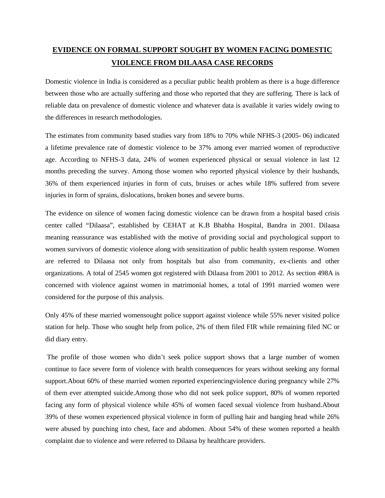## **EVIDENCE ON FORMAL SUPPORT SOUGHT BY WOMEN FACING DOMESTIC VIOLENCE FROM DILAASA CASE RECORDS**

Domestic violence in India is considered as a peculiar public health problem as there is a huge difference between those who are actually suffering and those who reported that they are suffering. There is lack of reliable data on prevalence of domestic violence and whatever data is available it varies widely owing to the differences in research methodologies.

The estimates from community based studies vary from 18% to 70% while NFHS-3 (2005- 06) indicated a lifetime prevalence rate of domestic violence to be 37% among ever married women of reproductive age. According to NFHS-3 data, 24% of women experienced physical or sexual violence in last 12 months preceding the survey. Among those women who reported physical violence by their husbands, 36% of them experienced injuries in form of cuts, bruises or aches while 18% suffered from severe injuries in form of sprains, dislocations, broken bones and severe burns.

The evidence on silence of women facing domestic violence can be drawn from a hospital based crisis center called "Dilaasa", established by CEHAT at K.B Bhabha Hospital, Bandra in 2001. Dilaasa meaning reassurance was established with the motive of providing social and psychological support to women survivors of domestic violence along with sensitization of public health system response. Women are referred to Dilaasa not only from hospitals but also from community, ex-clients and other organizations. A total of 2545 women got registered with Dilaasa from 2001 to 2012. As section 498A is concerned with violence against women in matrimonial homes, a total of 1991 married women were considered for the purpose of this analysis.

Only 45% of these married womensought police support against violence while 55% never visited police station for help. Those who sought help from police, 2% of them filed FIR while remaining filed NC or did diary entry.

The profile of those women who didn't seek police support shows that a large number of women continue to face severe form of violence with health consequences for years without seeking any formal support.About 60% of these married women reported experiencingviolence during pregnancy while 27% of them ever attempted suicide.Among those who did not seek police support, 80% of women reported facing any form of physical violence while 45% of women faced sexual violence from husband.About 39% of these women experienced physical violence in form of pulling hair and banging head while 26% were abused by punching into chest, face and abdomen. About 54% of these women reported a health complaint due to violence and were referred to Dilaasa by healthcare providers.